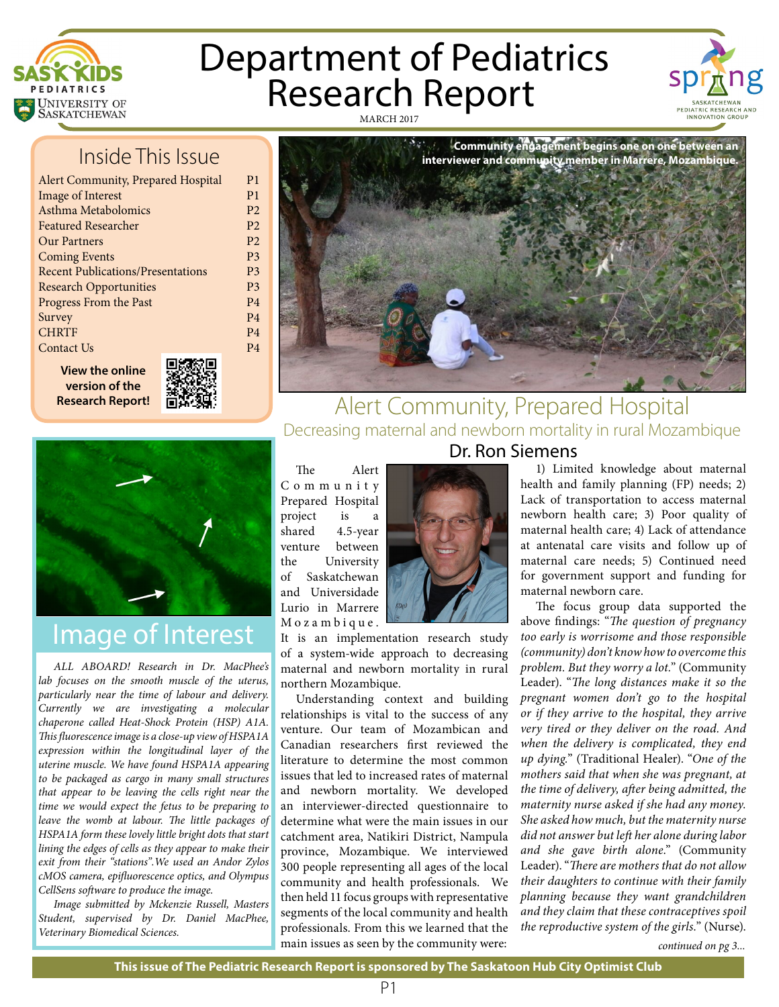

# Department of Pediatrics<br>Research Report MARCH 2017



# Inside This Issue

| <b>Alert Community, Prepared Hospital</b> |
|-------------------------------------------|
| <b>Image of Interest</b>                  |
| Asthma Metabolomics                       |
| <b>Featured Researcher</b>                |
| Our Partners                              |
| <b>Coming Events</b>                      |
| <b>Recent Publications/Presentations</b>  |
| <b>Research Opportunities</b>             |
| Progress From the Past                    |
| Survey                                    |
| <b>CHRTF</b>                              |
| Contact Us                                |
|                                           |

**View the online version of the Research Report!**

P1 P1 P2 P2 P2 P3 P3 P3 P4 P4 P4 P4



## Alert Community, Prepared Hospital Decreasing maternal and newborn mortality in rural Mozambique Dr. Ron Siemens

The Alert

# Image of Interest

*ALL ABOARD! Research in Dr. MacPhee's lab focuses on the smooth muscle of the uterus, particularly near the time of labour and delivery. Currently we are investigating a molecular chaperone called Heat-Shock Protein (HSP) A1A. This fluorescence image is a close-up view of HSPA1A expression within the longitudinal layer of the uterine muscle. We have found HSPA1A appearing to be packaged as cargo in many small structures that appear to be leaving the cells right near the time we would expect the fetus to be preparing to leave the womb at labour. The little packages of HSPA1A form these lovely little bright dots that start lining the edges of cells as they appear to make their exit from their "stations".We used an Andor Zylos cMOS camera, epifluorescence optics, and Olympus CellSens software to produce the image.*

*Image submitted by Mckenzie Russell, Masters Student, supervised by Dr. Daniel MacPhee, Veterinary Biomedical Sciences.*

C o m m u n i t y Prepared Hospital project is a shared 4.5-year venture between the University of Saskatchewan and Universidade Lurio in Marrere M o z a m b i q u e.

It is an implementation research study of a system-wide approach to decreasing maternal and newborn mortality in rural northern Mozambique.

Understanding context and building relationships is vital to the success of any venture. Our team of Mozambican and Canadian researchers first reviewed the literature to determine the most common issues that led to increased rates of maternal and newborn mortality. We developed an interviewer-directed questionnaire to determine what were the main issues in our catchment area, Natikiri District, Nampula province, Mozambique. We interviewed 300 people representing all ages of the local community and health professionals. We then held 11 focus groups with representative segments of the local community and health professionals. From this we learned that the main issues as seen by the community were:



1) Limited knowledge about maternal health and family planning (FP) needs; 2) Lack of transportation to access maternal newborn health care; 3) Poor quality of maternal health care; 4) Lack of attendance at antenatal care visits and follow up of maternal care needs; 5) Continued need for government support and funding for maternal newborn care.

The focus group data supported the above findings: "*The question of pregnancy too early is worrisome and those responsible (community) don't know how to overcome this problem. But they worry a lot.*" (Community Leader). "*The long distances make it so the pregnant women don't go to the hospital or if they arrive to the hospital, they arrive very tired or they deliver on the road. And when the delivery is complicated, they end up dying.*" (Traditional Healer). "*One of the mothers said that when she was pregnant, at the time of delivery, after being admitted, the maternity nurse asked if she had any money. She asked how much, but the maternity nurse did not answer but left her alone during labor and she gave birth alone*." (Community Leader). "*There are mothers that do not allow their daughters to continue with their family planning because they want grandchildren and they claim that these contraceptives spoil the reproductive system of the girls.*" (Nurse).

*continued on pg 3...*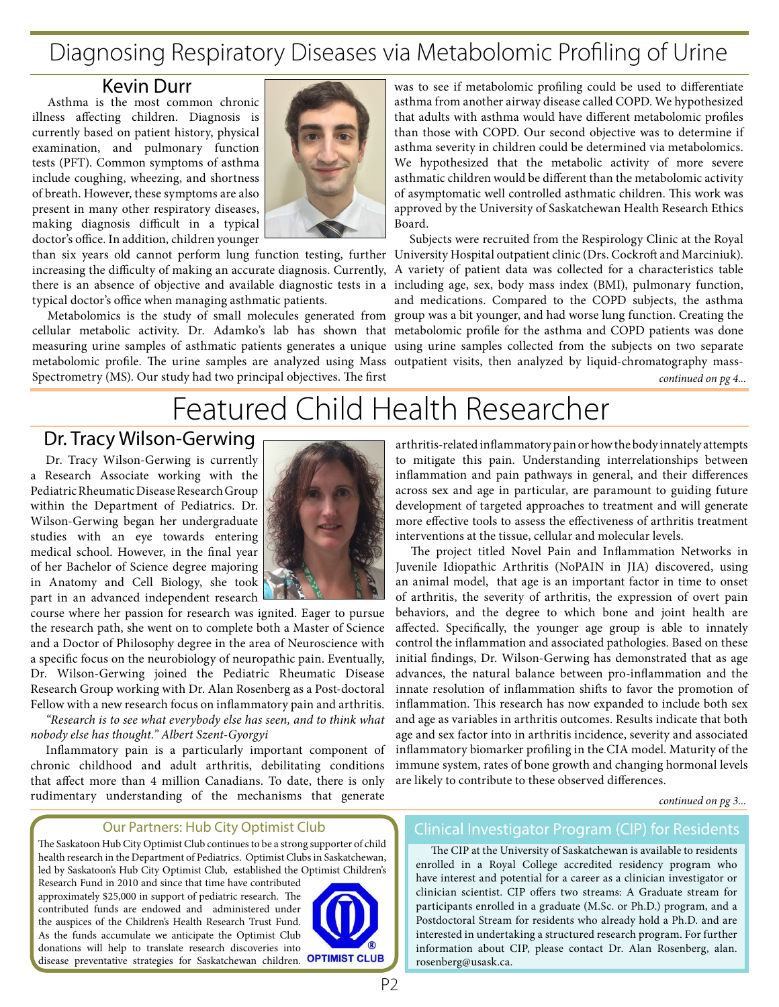# Diagnosing Respiratory Diseases via Metabolomic Profiling of Urine

## Kevin Durr

Asthma is the most common chronic illness affecting children. Diagnosis is currently based on patient history, physical examination, and pulmonary function tests (PFT). Common symptoms of asthma include coughing, wheezing, and shortness of breath. However, these symptoms are also present in many other respiratory diseases, making diagnosis difficult in a typical doctor's office. In addition, children younger



than six years old cannot perform lung function testing, further University Hospital outpatient clinic (Drs. Cockroft and Marciniuk). increasing the difficulty of making an accurate diagnosis. Currently, A variety of patient data was collected for a characteristics table there is an absence of objective and available diagnostic tests in a including age, sex, body mass index (BMI), pulmonary function, typical doctor's office when managing asthmatic patients.

cellular metabolic activity. Dr. Adamko's lab has shown that metabolomic profile for the asthma and COPD patients was done measuring urine samples of asthmatic patients generates a unique using urine samples collected from the subjects on two separate metabolomic profile. The urine samples are analyzed using Mass outpatient visits, then analyzed by liquid-chromatography mass-Spectrometry (MS). Our study had two principal objectives. The first

was to see if metabolomic profiling could be used to differentiate asthma from another airway disease called COPD. We hypothesized that adults with asthma would have different metabolomic profiles than those with COPD. Our second objective was to determine if asthma severity in children could be determined via metabolomics. We hypothesized that the metabolic activity of more severe asthmatic children would be different than the metabolomic activity of asymptomatic well controlled asthmatic children. This work was approved by the University of Saskatchewan Health Research Ethics Board.

Metabolomics is the study of small molecules generated from group was a bit younger, and had worse lung function. Creating the Subjects were recruited from the Respirology Clinic at the Royal and medications. Compared to the COPD subjects, the asthma

*continued on pg 4...*

# Featured Child Health Researcher

## Dr. Tracy Wilson-Gerwing

Dr. Tracy Wilson-Gerwing is currently a Research Associate working with the Pediatric Rheumatic Disease Research Group within the Department of Pediatrics. Dr. Wilson-Gerwing began her undergraduate studies with an eye towards entering medical school. However, in the final year of her Bachelor of Science degree majoring in Anatomy and Cell Biology, she took part in an advanced independent research



course where her passion for research was ignited. Eager to pursue the research path, she went on to complete both a Master of Science and a Doctor of Philosophy degree in the area of Neuroscience with a specific focus on the neurobiology of neuropathic pain. Eventually, Dr. Wilson-Gerwing joined the Pediatric Rheumatic Disease Research Group working with Dr. Alan Rosenberg as a Post-doctoral Fellow with a new research focus on inflammatory pain and arthritis.

*"Research is to see what everybody else has seen, and to think what nobody else has thought." Albert Szent-Gyorgyi*

Inflammatory pain is a particularly important component of chronic childhood and adult arthritis, debilitating conditions that affect more than 4 million Canadians. To date, there is only rudimentary understanding of the mechanisms that generate

### Our Partners: Hub City Optimist Club

The Saskatoon Hub City Optimist Club continues to be a strong supporter of child health research in the Department of Pediatrics. Optimist Clubs in Saskatchewan, led by Saskatoon's Hub City Optimist Club, established the Optimist Children's

Research Fund in 2010 and since that time have contributed approximately \$25,000 in support of pediatric research. The contributed funds are endowed and administered under the auspices of the Children's Health Research Trust Fund. As the funds accumulate we anticipate the Optimist Club donations will help to translate research discoveries into disease preventative strategies for Saskatchewan children.



arthritis-related inflammatory pain or how the body innately attempts to mitigate this pain. Understanding interrelationships between inflammation and pain pathways in general, and their differences across sex and age in particular, are paramount to guiding future development of targeted approaches to treatment and will generate more effective tools to assess the effectiveness of arthritis treatment interventions at the tissue, cellular and molecular levels.

The project titled Novel Pain and Inflammation Networks in Juvenile Idiopathic Arthritis (NoPAIN in JIA) discovered, using an animal model, that age is an important factor in time to onset of arthritis, the severity of arthritis, the expression of overt pain behaviors, and the degree to which bone and joint health are affected. Specifically, the younger age group is able to innately control the inflammation and associated pathologies. Based on these initial findings, Dr. Wilson-Gerwing has demonstrated that as age advances, the natural balance between pro-inflammation and the innate resolution of inflammation shifts to favor the promotion of inflammation. This research has now expanded to include both sex and age as variables in arthritis outcomes. Results indicate that both age and sex factor into in arthritis incidence, severity and associated inflammatory biomarker profiling in the CIA model. Maturity of the immune system, rates of bone growth and changing hormonal levels are likely to contribute to these observed differences.

*continued on pg 3...*

### Clinical Investigator Program (CIP) for Residents

The CIP at the University of Saskatchewan is available to residents enrolled in a Royal College accredited residency program who have interest and potential for a career as a clinician investigator or clinician scientist. CIP offers two streams: A Graduate stream for participants enrolled in a graduate (M.Sc. or Ph.D.) program, and a Postdoctoral Stream for residents who already hold a Ph.D. and are interested in undertaking a structured research program. For further information about CIP, please contact Dr. Alan Rosenberg, alan. rosenberg@usask.ca.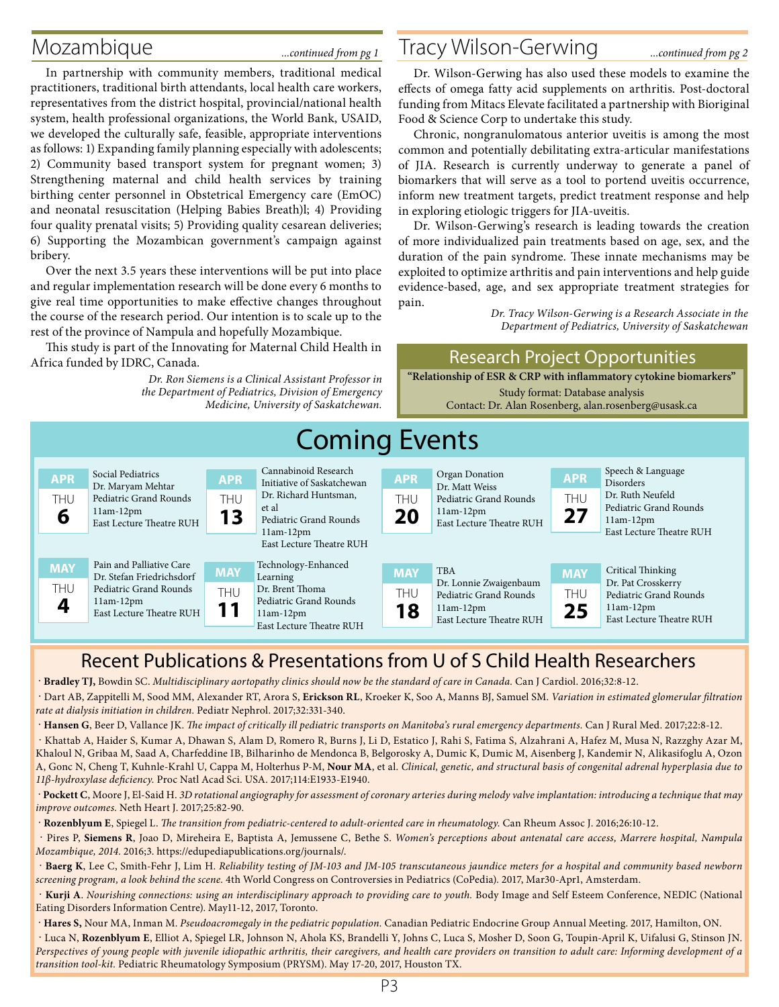In partnership with community members, traditional medical practitioners, traditional birth attendants, local health care workers, representatives from the district hospital, provincial/national health system, health professional organizations, the World Bank, USAID, we developed the culturally safe, feasible, appropriate interventions as follows: 1) Expanding family planning especially with adolescents; 2) Community based transport system for pregnant women; 3) Strengthening maternal and child health services by training birthing center personnel in Obstetrical Emergency care (EmOC) and neonatal resuscitation (Helping Babies Breath)l; 4) Providing four quality prenatal visits; 5) Providing quality cesarean deliveries; 6) Supporting the Mozambican government's campaign against bribery.

Over the next 3.5 years these interventions will be put into place and regular implementation research will be done every 6 months to give real time opportunities to make effective changes throughout the course of the research period. Our intention is to scale up to the rest of the province of Nampula and hopefully Mozambique.

This study is part of the Innovating for Maternal Child Health in Africa funded by IDRC, Canada.

*Dr. Ron Siemens is a Clinical Assistant Professor in* 

# Mozambique *....continued from pg 1* Tracy Wilson-Gerwing ....continued from pg 2

Dr. Wilson-Gerwing has also used these models to examine the effects of omega fatty acid supplements on arthritis. Post-doctoral funding from Mitacs Elevate facilitated a partnership with Bioriginal Food & Science Corp to undertake this study.

Chronic, nongranulomatous anterior uveitis is among the most common and potentially debilitating extra-articular manifestations of JIA. Research is currently underway to generate a panel of biomarkers that will serve as a tool to portend uveitis occurrence, inform new treatment targets, predict treatment response and help in exploring etiologic triggers for JIA-uveitis.

Dr. Wilson-Gerwing's research is leading towards the creation of more individualized pain treatments based on age, sex, and the duration of the pain syndrome. These innate mechanisms may be exploited to optimize arthritis and pain interventions and help guide evidence-based, age, and sex appropriate treatment strategies for pain.

**"Relationship of ESR & CRP with inflammatory cytokine biomarkers"**

Research Project Opportunities

*Dr. Tracy Wilson-Gerwing is a Research Associate in the Department of Pediatrics, University of Saskatchewan* 

### Speech & Language Disorders Dr. Ruth Neufeld Pediatric Grand Rounds 11am-12pm East Lecture Theatre RUH Social Pediatrics Dr. Maryam Mehtar Pediatric Grand Rounds 11am-12pm East Lecture Theatre RUH Cannabinoid Research Initiative of Saskatchewan Dr. Richard Huntsman, et al Pediatric Grand Rounds 11am-12pm East Lecture Theatre RUH Organ Donation Dr. Matt Weiss Pediatric Grand Rounds 11am-12pm East Lecture Theatre RUH TBA Dr. Lonnie Zwaigenbaum Pediatric Grand Rounds 11am-12pm East Lecture Theatre RUH Critical Thinking Dr. Pat Crosskerry Pediatric Grand Rounds 11am-12pm East Lecture Theatre RUH Pain and Palliative Care Dr. Stefan Friedrichsdorf Pediatric Grand Rounds 11am-12pm East Lecture Theatre RUH Technology-Enhanced Learning Dr. Brent Thoma Pediatric Grand Rounds 11am-12pm East Lecture Theatre RUH **APR** THU **6 APR** THU **27 MAY** THU **18 MAY** THU **25 MAY** THU **4 APR** THU **13 APR** THU **20 MAY** THU **11** Coming Events *the Department of Pediatrics, Division of Emergency Medicine, University of Saskatchewan.* Study format: Database analysis Contact: Dr. Alan Rosenberg, alan.rosenberg@usask.ca

## Recent Publications & Presentations from U of S Child Health Researchers

. **Bradley TJ,** Bowdin SC. *Multidisciplinary aortopathy clinics should now be the standard of care in Canada.* Can J Cardiol. 2016;32:8-12.

 . Dart AB, Zappitelli M, Sood MM, Alexander RT, Arora S, **Erickson RL**, Kroeker K, Soo A, Manns BJ, Samuel SM. *Variation in estimated glomerular filtration rate at dialysis initiation in children.* Pediatr Nephrol. 2017;32:331-340.

. **Hansen G**, Beer D, Vallance JK. *The impact of critically ill pediatric transports on Manitoba's rural emergency departments.* Can J Rural Med. 2017;22:8-12.

 . Khattab A, Haider S, Kumar A, Dhawan S, Alam D, Romero R, Burns J, Li D, Estatico J, Rahi S, Fatima S, Alzahrani A, Hafez M, Musa N, Razzghy Azar M, Khaloul N, Gribaa M, Saad A, Charfeddine IB, Bilharinho de Mendonca B, Belgorosky A, Dumic K, Dumic M, Aisenberg J, Kandemir N, Alikasifoglu A, Ozon A, Gonc N, Cheng T, Kuhnle-Krahl U, Cappa M, Holterhus P-M, **Nour MA**, et al. *Clinical, genetic, and structural basis of congenital adrenal hyperplasia due to 11β-hydroxylase deficiency.* Proc Natl Acad Sci. USA. 2017;114:E1933-E1940.

 . **Pockett C**, Moore J, El-Said H. *3D rotational angiography for assessment of coronary arteries during melody valve implantation: introducing a technique that may improve outcomes.* Neth Heart J. 2017;25:82-90.

. **Rozenblyum E**, Spiegel L. *The transition from pediatric-centered to adult-oriented care in rheumatology.* Can Rheum Assoc J. 2016;26:10-12.

 . Pires P, **Siemens R**, Joao D, Mireheira E, Baptista A, Jemussene C, Bethe S. *Women's perceptions about antenatal care access, Marrere hospital, Nampula Mozambique, 2014.* 2016;3. https://edupediapublications.org/journals/.

 . **Baerg K**, Lee C, Smith-Fehr J, Lim H. *Reliability testing of JM-103 and JM-105 transcutaneous jaundice meters for a hospital and community based newborn screening program, a look behind the scene.* 4th World Congress on Controversies in Pediatrics (CoPedia). 2017, Mar30-Apr1, Amsterdam.

 . **Kurji A**. *Nourishing connections: using an interdisciplinary approach to providing care to youth.* Body Image and Self Esteem Conference, NEDIC (National Eating Disorders Information Centre). May11-12, 2017, Toronto.

. **Hares S,** Nour MA, Inman M. *Pseudoacromegaly in the pediatric population.* Canadian Pediatric Endocrine Group Annual Meeting. 2017, Hamilton, ON.

 . Luca N, **Rozenblyum E**, Elliot A, Spiegel LR, Johnson N, Ahola KS, Brandelli Y, Johns C, Luca S, Mosher D, Soon G, Toupin-April K, Uifalusi G, Stinson JN. *Perspectives of young people with juvenile idiopathic arthritis, their caregivers, and health care providers on transition to adult care: Informing development of a transition tool-kit.* Pediatric Rheumatology Symposium (PRYSM). May 17-20, 2017, Houston TX.